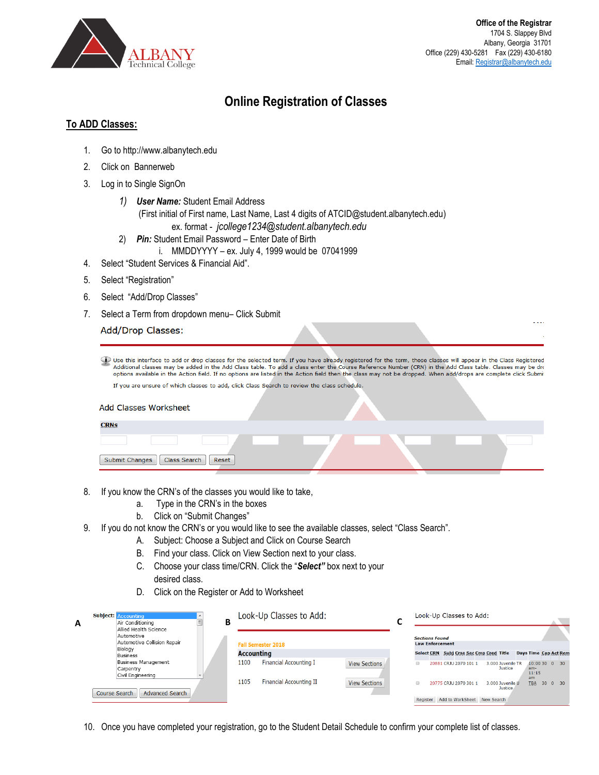

لتأمير

## **Online Registration of Classes**

## **To ADD Classes:**

- 1. Go to http://www.albanytech.edu
- 2. Click on Bannerweb
- 3. Log in to Single SignOn
	- *1) User Name:* Student Email Address (First initial of First name, Last Name, Last 4 digits of ATCID@student.albanytech.edu) ex. format - *jcollege1234@student.albanytech.edu*
	- 2) *Pin:* Student Email Password Enter Date of Birth
		- i. MMDDYYYY ex. July 4, 1999 would be 07041999
- 4. Select "Student Services & Financial Aid".
- 5. Select "Registration"
- 6. Select "Add/Drop Classes"
- 7. Select a Term from dropdown menu– Click Submit

Add/Drop Classes:

Duse this interface to add or drop classes for the selected term. If you have already registered for the term, those classes will appear in the Class Registered Additional classes may be added in the Add Class table. Class options available in the Action field. If no options are listed in the Action field then the class may not be dropped. When add/drops are complete click Submi If you are unsure of which classes to add, click Class Search to review the class schedule.

|  | Add Classes Worksheet |
|--|-----------------------|

| <b>RNS</b>                            |  |  |
|---------------------------------------|--|--|
|                                       |  |  |
| Submit Changes   Class Search   Reset |  |  |
|                                       |  |  |

- 8. If you know the CRN's of the classes you would like to take,
	- a. Type in the CRN's in the boxes
	- b. Click on "Submit Changes"
- 9. If you do not know the CRN's or you would like to see the available classes, select "Class Search".
	- A. Subject: Choose a Subject and Click on Course Search
	- B. Find your class. Click on View Section next to your class.
	- C. Choose your class time/CRN. Click the "*Select"* box next to your desired class.
	- D. Click on the Register or Add to Worksheet

| Subject: Accounting<br>Air Conditioning<br>A<br>Allied Health Science                                        | Look-Up Classes to Add:<br>В                                                                                             | Look-Up Classes to Add:                                                                                                                                                                                                   |
|--------------------------------------------------------------------------------------------------------------|--------------------------------------------------------------------------------------------------------------------------|---------------------------------------------------------------------------------------------------------------------------------------------------------------------------------------------------------------------------|
| Automotive<br>Automotive Collision Repair<br>Biology                                                         | <b>Fall Semester 2018</b><br><b>Accounting</b>                                                                           | <b>Sections Found</b><br><b>Law Enforcement</b><br>Select CRN Subj Crse Sec Cmp Cred Title<br><b>Days Time Cap Act Rem</b>                                                                                                |
| Business<br>Business Management<br>Carpentry<br>Civil Engineering<br><b>Advanced Search</b><br>Course Search | Financial Accounting I<br>1100<br><b>View Sections</b><br>1105<br><b>Financial Accounting II</b><br><b>View Sections</b> | $10:0030$ 0 30<br>20881 CRJU 2070 101 1<br>3.000 Juvenile TR<br>Justice<br>$am-$<br>11:15<br>am<br>30 0 30<br><b>TBA</b><br>20775 CR3U 2070 301 1<br>3.000 Juvenile U<br>Justice.<br>Register Add to WorkSheet New Search |

10. Once you have completed your registration, go to the Student Detail Schedule to confirm your complete list of classes.